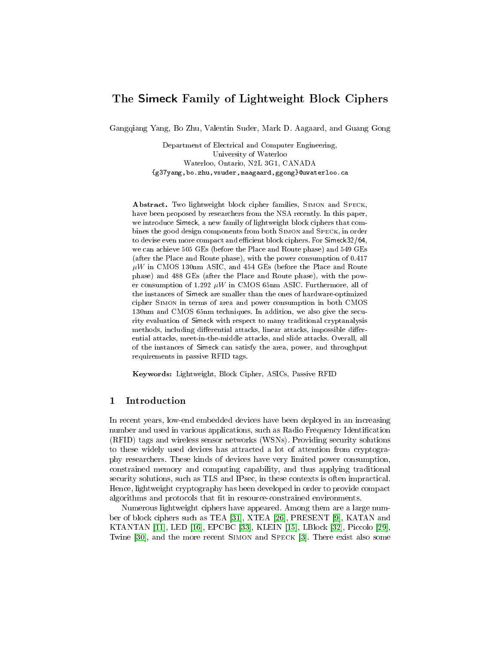# The Simeck Family of Lightweight Block Ciphers

Gangqiang Yang, Bo Zhu, Valentin Suder, Mark D. Aagaard, and Guang Gong

Department of Electrical and Computer Engineering, University of Waterloo Waterloo, Ontario, N2L 3G1, CANADA {g37yang,bo.zhu,vsuder,maagaard,ggong}@uwaterloo.ca

Abstract. Two lightweight block cipher families, Simon and Speck, have been proposed by researchers from the NSA recently. In this paper, we introduce Simeck, a new family of lightweight block ciphers that combines the good design components from both Simon and Speck, in order to devise even more compact and efficient block ciphers. For Simeck32/64, we can achieve 505 GEs (before the Place and Route phase) and 549 GEs (after the Place and Route phase), with the power consumption of 0.417  $\mu$ W in CMOS 130nm ASIC, and 454 GEs (before the Place and Route phase) and 488 GEs (after the Place and Route phase), with the power consumption of 1.292  $\mu$ W in CMOS 65nm ASIC. Furthermore, all of the instances of Simeck are smaller than the ones of hardware-optimized cipher Simon in terms of area and power consumption in both CMOS 130nm and CMOS 65nm techniques. In addition, we also give the security evaluation of Simeck with respect to many traditional cryptanalysis methods, including differential attacks, linear attacks, impossible differential attacks, meet-in-the-middle attacks, and slide attacks. Overall, all of the instances of Simeck can satisfy the area, power, and throughput requirements in passive RFID tags.

Keywords: Lightweight, Block Cipher, ASICs, Passive RFID

## 1 Introduction

In recent years, low-end embedded devices have been deployed in an increasing number and used in various applications, such as Radio Frequency Identification (RFID) tags and wireless sensor networks (WSNs). Providing security solutions to these widely used devices has attracted a lot of attention from cryptography researchers. These kinds of devices have very limited power consumption, constrained memory and computing capability, and thus applying traditional security solutions, such as TLS and IPsec, in these contexts is often impractical. Hence, lightweight cryptography has been developed in order to provide compact algorithms and protocols that fit in resource-constrained environments.

Numerous lightweight ciphers have appeared. Among them are a large number of block ciphers such as TEA [\[31\]](#page-20-0), XTEA [\[26\]](#page-19-0), PRESENT [\[9\]](#page-18-0), KATAN and KTANTAN [\[11\]](#page-18-1), LED [\[16\]](#page-19-1), EPCBC [\[33\]](#page-20-1), KLEIN [\[15\]](#page-18-2), LBlock [\[32\]](#page-20-2), Piccolo [\[29\]](#page-19-2), Twine [\[30\]](#page-19-3), and the more recent Simon and Speck [\[3\]](#page-18-3). There exist also some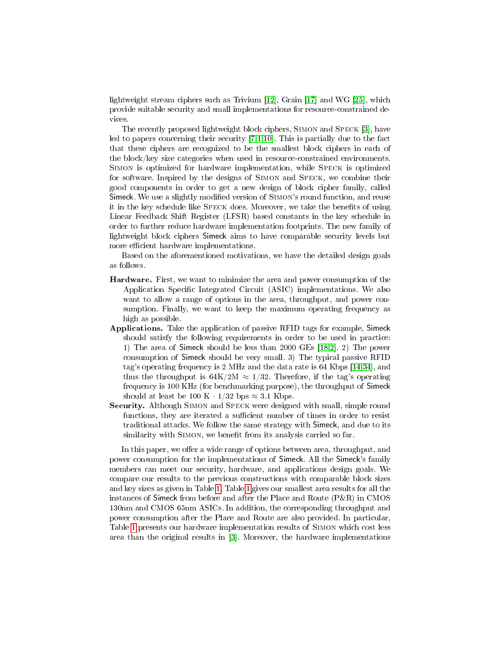lightweight stream ciphers such as Trivium [\[12\]](#page-18-4), Grain [\[17\]](#page-19-4) and WG [\[25\]](#page-19-5), which provide suitable security and small implementations for resource-constrained devices.

The recently proposed lightweight block ciphers, Simon and Speck [\[3\]](#page-18-3), have led to papers concerning their security [\[7](#page-18-5)[,1](#page-18-6)[,10\]](#page-18-7). This is partially due to the fact that these ciphers are recognized to be the smallest block ciphers in each of the block/key size categories when used in resource-constrained environments. Simon is optimized for hardware implementation, while Speck is optimized for software. Inspired by the designs of Simon and Speck, we combine their good components in order to get a new design of block cipher family, called Simeck. We use a slightly modified version of SIMON's round function, and reuse it in the key schedule like SPECK does. Moreover, we take the benefits of using Linear Feedback Shift Register (LFSR) based constants in the key schedule in order to further reduce hardware implementation footprints. The new family of lightweight block ciphers Simeck aims to have comparable security levels but more efficient hardware implementations.

Based on the aforementioned motivations, we have the detailed design goals as follows.

- Hardware. First, we want to minimize the area and power consumption of the Application Specific Integrated Circuit (ASIC) implementations. We also want to allow a range of options in the area, throughput, and power consumption. Finally, we want to keep the maximum operating frequency as high as possible.
- Applications. Take the application of passive RFID tags for example, Simeck should satisfy the following requirements in order to be used in practice: 1) The area of Simeck should be less than 2000 GEs [\[18](#page-19-6)[,2\]](#page-18-8). 2) The power consumption of Simeck should be very small. 3) The typical passive RFID tag's operating frequency is 2 MHz and the data rate is 64 Kbps [\[14](#page-18-9)[,34\]](#page-20-3), and thus the throughput is  $64K/2M \approx 1/32$ . Therefore, if the tag's operating frequency is 100 KHz (for benchmarking purpose), the throughput of Simeck should at least be 100 K  $\cdot$  1/32 bps  $\approx$  3.1 Kbps.
- Security. Although Simon and Speck were designed with small, simple round functions, they are iterated a sufficient number of times in order to resist traditional attacks. We follow the same strategy with Simeck, and due to its similarity with SIMON, we benefit from its analysis carried so far.

In this paper, we offer a wide range of options between area, throughput, and power consumption for the implementations of Simeck. All the Simeck's family members can meet our security, hardware, and applications design goals. We compare our results to the previous constructions with comparable block sizes and key sizes as given in Table [1.](#page-2-0) Table [1](#page-2-0) gives our smallest area results for all the instances of Simeck from before and after the Place and Route (P&R) in CMOS 130nm and CMOS 65nm ASICs. In addition, the corresponding throughput and power consumption after the Place and Route are also provided. In particular, Table [1](#page-2-0) presents our hardware implementation results of Simon which cost less area than the original results in [\[3\]](#page-18-3). Moreover, the hardware implementations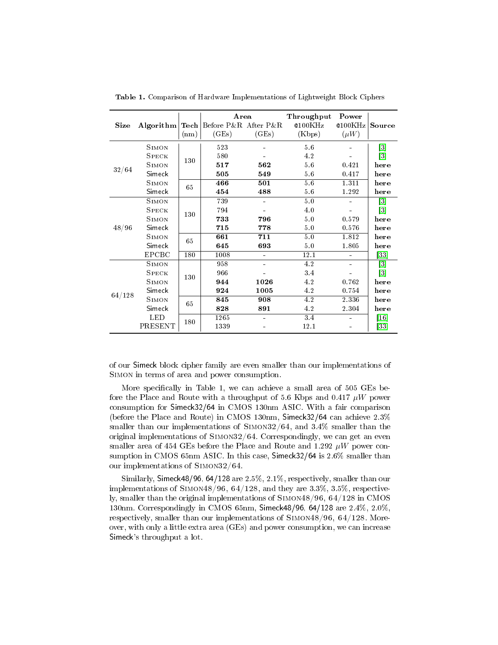|             |              |      | Area                      |       | Throughput | Power     |                              |
|-------------|--------------|------|---------------------------|-------|------------|-----------|------------------------------|
| <b>Size</b> | Algorithm    |      | Tech Before P&R After P&R |       | Q100KHz    | Q100KHz   | Source                       |
|             |              | (nm) | (GEs)                     | (GEs) | (Kbps)     | $(\mu W)$ |                              |
|             | <b>SIMON</b> |      | 523                       |       | 5.6        |           | $[3]$                        |
|             | <b>SPECK</b> | 130  | 580                       |       | 4.2        |           | $\lceil 3 \rceil$            |
| 32/64       | <b>SIMON</b> |      | 517                       | 562   | 5.6        | 0.421     | here                         |
|             | Simeck       |      | 505                       | 549   | 5.6        | 0.417     | here                         |
|             | <b>SIMON</b> | 65   | 466                       | 501   | 5.6        | 1.311     | here                         |
|             | Simeck       |      | 454                       | 488   | 5.6        | 1.292     | here                         |
| 48/96       | <b>SIMON</b> | 130  | 739                       |       | 5.0        |           | $\overline{3}$               |
|             | <b>SPECK</b> |      | 794                       |       | 4.0        |           | $[3]$                        |
|             | <b>SIMON</b> |      | 733                       | 796   | 5.0        | 0.579     | here                         |
|             | Simeck       |      | 715                       | 778   | 5.0        | 0.576     | here                         |
|             | <b>SIMON</b> | 65   | 661                       | 711   | 5.0        | 1.812     | here                         |
|             | Simeck       |      | 645                       | 693   | 5.0        | 1.805     | here                         |
|             | <b>EPCBC</b> | 180  | 1008                      | ä,    | 12.1       | ä,        | 33                           |
|             | <b>SIMON</b> |      | 958                       | ÷,    | 4.2        |           | $[3]$                        |
|             | <b>SPECK</b> | 130  | 966                       |       | 3.4        |           | $\lceil 3 \rceil$            |
|             | <b>SIMON</b> |      | 944                       | 1026  | 4.2        | 0.762     | here                         |
| 64/128      | Simeck       |      | 924                       | 1005  | 4.2        | 0.754     | here                         |
|             | <b>SIMON</b> | 65   | 845                       | 908   | 4.2        | 2.336     | here                         |
|             | Simeck       |      | 828                       | 891   | 4.2        | 2.304     | here                         |
|             | <b>LED</b>   | 180  | 1265                      |       | 3.4        |           | [16]                         |
|             | PRESENT      |      | 1339                      |       | 12.1       |           | $\left\lceil 33\right\rceil$ |

<span id="page-2-0"></span>Table 1. Comparison of Hardware Implementations of Lightweight Block Ciphers

of our Simeck block cipher family are even smaller than our implementations of Simon in terms of area and power consumption.

More specifically in Table 1, we can achieve a small area of 505 GEs before the Place and Route with a throughput of 5.6 Kbps and 0.417  $\mu W$  power consumption for Simeck32/64 in CMOS 130nm ASIC. With a fair comparison (before the Place and Route) in CMOS 130nm, Simeck32/64 can achieve 2.3% smaller than our implementations of  $\text{SIMON}32/64$ , and  $3.4\%$  smaller than the original implementations of  $\text{SIMON}32/64$ . Correspondingly, we can get an even smaller area of 454 GEs before the Place and Route and 1.292  $\mu$ W power consumption in CMOS 65nm ASIC. In this case, Simeck32/64 is 2.6% smaller than our implementations of Simon32/64.

Similarly, Simeck48/96, 64/128 are  $2.5\%$ ,  $2.1\%$ , respectively, smaller than our implementations of SIMON48/96,  $64/128$ , and they are 3.3%, 3.5%, respectively, smaller than the original implementations of Simon48/96, 64/128 in CMOS 130nm. Correspondingly in CMOS 65nm, Simeck48/96, 64/128 are 2.4%, 2.0%, respectively, smaller than our implementations of  $\text{SIMON48}/96, 64/128$ . Moreover, with only a little extra area (GEs) and power consumption, we can increase Simeck's throughput a lot.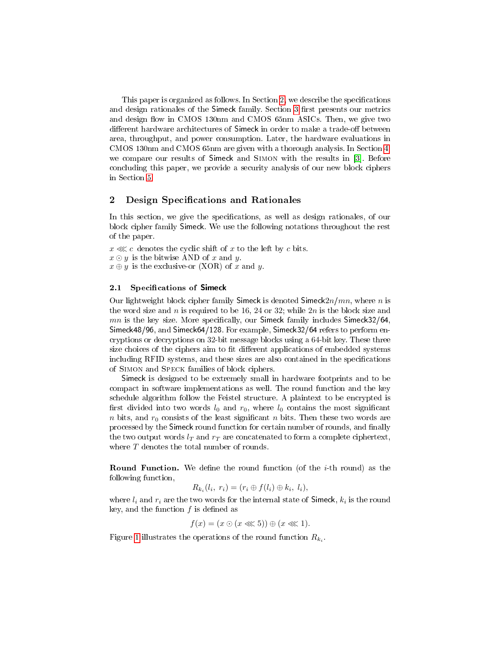This paper is organized as follows. In Section [2,](#page-3-0) we describe the specifications and design rationales of the Simeck family. Section [3](#page-5-0) first presents our metrics and design flow in CMOS 130nm and CMOS 65nm ASICs. Then, we give two different hardware architectures of Simeck in order to make a trade-off between area, throughput, and power consumption. Later, the hardware evaluations in CMOS 130nm and CMOS 65nm are given with a thorough analysis. In Section [4,](#page-13-0) we compare our results of Simeck and Simon with the results in [\[3\]](#page-18-3). Before concluding this paper, we provide a security analysis of our new block ciphers in Section [5.](#page-15-0)

#### <span id="page-3-0"></span>2 Design Specifications and Rationales

In this section, we give the specifications, as well as design rationales, of our block cipher family Simeck. We use the following notations throughout the rest of the paper.

 $x \ll c$  denotes the cyclic shift of x to the left by c bits.  $x \odot y$  is the bitwise AND of x and y.  $x \oplus y$  is the exclusive-or (XOR) of x and y.

#### 2.1 Specifications of Simeck

Our lightweight block cipher family Simeck is denoted Simeck $2n/mn$ , where n is the word size and n is required to be 16, 24 or 32; while  $2n$  is the block size and  $mn$  is the key size. More specifically, our Simeck family includes Simeck32/64, Simeck48/96, and Simeck64/128. For example, Simeck32/64 refers to perform encryptions or decryptions on 32-bit message blocks using a 64-bit key. These three size choices of the ciphers aim to fit different applications of embedded systems including RFID systems, and these sizes are also contained in the specifications of Simon and Speck families of block ciphers.

Simeck is designed to be extremely small in hardware footprints and to be compact in software implementations as well. The round function and the key schedule algorithm follow the Feistel structure. A plaintext to be encrypted is first divided into two words  $l_0$  and  $r_0$ , where  $l_0$  contains the most significant n bits, and  $r_0$  consists of the least significant n bits. Then these two words are processed by the Simeck round function for certain number of rounds, and finally the two output words  $l_T$  and  $r_T$  are concatenated to form a complete ciphertext, where T denotes the total number of rounds.

**Round Function.** We define the round function (of the  $i$ -th round) as the following function,

$$
R_{k_i}(l_i, r_i) = (r_i \oplus f(l_i) \oplus k_i, l_i),
$$

where  $l_i$  and  $r_i$  are the two words for the internal state of <code>Simeck</code>,  $k_i$  is the round key, and the function  $f$  is defined as

$$
f(x) = (x \odot (x \lll 5)) \oplus (x \lll 1).
$$

Figure [1](#page-4-0) illustrates the operations of the round function  $R_{k_i}$ .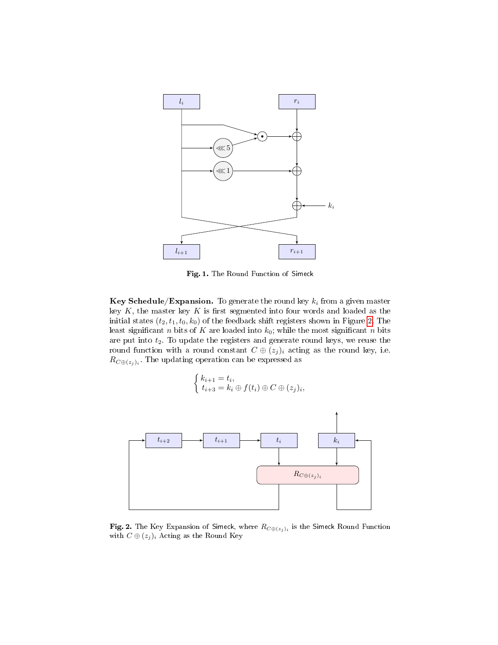

<span id="page-4-0"></span>Fig. 1. The Round Function of Simeck

Key Schedule/Expansion. To generate the round key  $k_i$  from a given master key  $K$ , the master key  $K$  is first segmented into four words and loaded as the initial states  $(t_2, t_1, t_0, k_0)$  of the feedback shift registers shown in Figure [2.](#page-4-1) The least significant  $n$  bits of  $K$  are loaded into  $k_0$ ; while the most significant  $n$  bits are put into  $t_2$ . To update the registers and generate round keys, we reuse the round function with a round constant  $C \oplus (z_j)_i$  acting as the round key, i.e.  $R_{C \oplus (z_j)_i}$ . The updating operation can be expressed as

$$
\begin{cases} k_{i+1} = t_i, \\ t_{i+3} = k_i \oplus f(t_i) \oplus C \oplus (z_j)_i, \end{cases}
$$



<span id="page-4-1"></span>Fig. 2. The Key Expansion of Simeck, where  $R_{C \oplus (z_j)_i}$  is the Simeck Round Function with  $C \oplus (z_j)_i$  Acting as the Round Key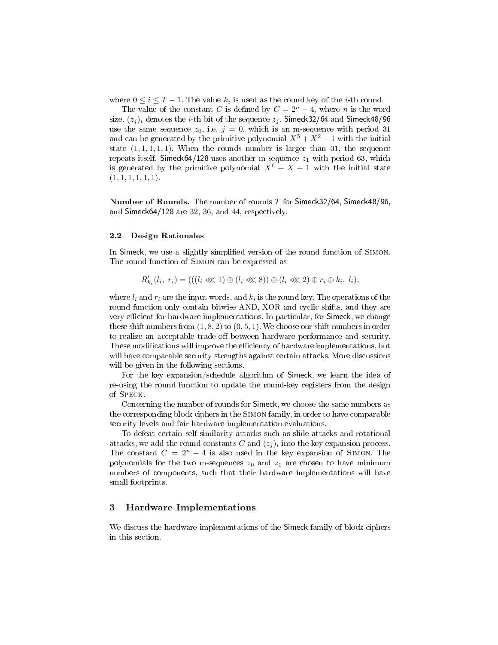where  $0 \le i \le T - 1$ . The value  $k_i$  is used as the round key of the *i*-th round.

The value of the constant C is defined by  $C = 2<sup>n</sup> - 4$ , where n is the word size.  $(z_i)_i$  denotes the *i*-th bit of the sequence  $z_i$ . Simeck32/64 and Simeck48/96 use the same sequence  $z_0$ , i.e.  $j = 0$ , which is an m-sequence with period 31 and can be generated by the primitive polynomial  $X^5 + X^2 + 1$  with the initial state  $(1, 1, 1, 1, 1)$ . When the rounds number is larger than 31, the sequence repeats itself. Simeck64/128 uses another m-sequence  $z_1$  with period 63, which is generated by the primitive polynomial  $X^6 + X + 1$  with the initial state  $(1, 1, 1, 1, 1, 1).$ 

Number of Rounds. The number of rounds T for Simeck32/64, Simeck48/96, and Simeck64/128 are 32, 36, and 44, respectively.

#### 2.2 Design Rationales

In Simeck, we use a slightly simplified version of the round function of SIMON. The round function of Simon can be expressed as

$$
R'_{k_i}(l_i, r_i) = (((l_i \lll 1) \odot (l_i \lll 8)) \oplus (l_i \lll 2) \oplus r_i \oplus k_i, l_i),
$$

where  $l_i$  and  $r_i$  are the input words, and  $k_i$  is the round key. The operations of the round function only contain bitwise AND, XOR and cyclic shifts, and they are very efficient for hardware implementations. In particular, for Simeck, we change these shift numbers from  $(1, 8, 2)$  to  $(0, 5, 1)$ . We choose our shift numbers in order to realize an acceptable trade-off between hardware performance and security. These modifications will improve the efficiency of hardware implementations, but will have comparable security strengths against certain attacks. More discussions will be given in the following sections.

For the key expansion/schedule algorithm of Simeck, we learn the idea of re-using the round function to update the round-key registers from the design of Speck.

Concerning the number of rounds for Simeck, we choose the same numbers as the corresponding block ciphers in the Simon family, in order to have comparable security levels and fair hardware implementation evaluations.

To defeat certain self-similarity attacks such as slide attacks and rotational attacks, we add the round constants  $C$  and  $(z_j)_i$  into the key expansion process. The constant  $C = 2<sup>n</sup> - 4$  is also used in the key expansion of SIMON. The polynomials for the two m-sequences  $z_0$  and  $z_1$  are chosen to have minimum numbers of components, such that their hardware implementations will have small footprints.

## <span id="page-5-0"></span>3 Hardware Implementations

We discuss the hardware implementations of the Simeck family of block ciphers in this section.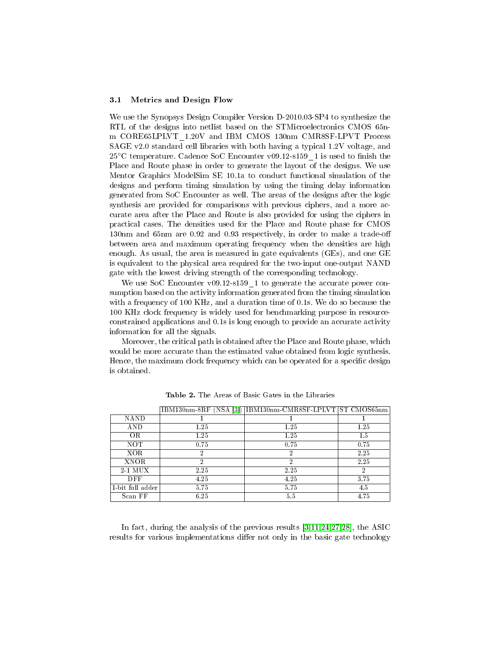#### <span id="page-6-1"></span>3.1 Metrics and Design Flow

We use the Synopsys Design Compiler Version D-2010.03-SP4 to synthesize the RTL of the designs into netlist based on the STMicroelectronics CMOS 65nm CORE65LPLVT\_1.20V and IBM CMOS 130nm CMR8SF-LPVT Process SAGE v2.0 standard cell libraries with both having a typical 1.2V voltage, and  $25^{\circ}$ C temperature. Cadence SoC Encounter v09.12-s159 1 is used to finish the Place and Route phase in order to generate the layout of the designs. We use Mentor Graphics ModelSim SE 10.1a to conduct functional simulation of the designs and perform timing simulation by using the timing delay information generated from SoC Encounter as well. The areas of the designs after the logic synthesis are provided for comparisons with previous ciphers, and a more accurate area after the Place and Route is also provided for using the ciphers in practical cases. The densities used for the Place and Route phase for CMOS 130nm and 65nm are 0.92 and 0.93 respectively, in order to make a trade-o between area and maximum operating frequency when the densities are high enough. As usual, the area is measured in gate equivalents (GEs), and one GE is equivalent to the physical area required for the two-input one-output NAND gate with the lowest driving strength of the corresponding technology.

We use SoC Encounter v09.12-s159 1 to generate the accurate power consumption based on the activity information generated from the timing simulation with a frequency of 100 KHz, and a duration time of 0.1s. We do so because the 100 KHz clock frequency is widely used for benchmarking purpose in resourceconstrained applications and 0.1s is long enough to provide an accurate activity information for all the signals.

Moreover, the critical path is obtained after the Place and Route phase, which would be more accurate than the estimated value obtained from logic synthesis. Hence, the maximum clock frequency which can be operated for a specific design is obtained.

|                  | IBM130nm-8RF $(NSA  3]$ | IBM130nm-CMR8SF-LPLVT ST CMOS65nm |                |
|------------------|-------------------------|-----------------------------------|----------------|
| NAND.            |                         |                                   |                |
| AND              | 1.25                    | 1.25                              | 1.25           |
| OR.              | 1.25                    | 1.25                              | 1.5            |
| <b>NOT</b>       | 0.75                    | 0.75                              | 0.75           |
| XOR              | 2                       | 2                                 | 2.25           |
| <b>XNOR</b>      | 2                       | $\overline{2}$                    | 2.25           |
| 2-1 MUX          | 2.25                    | 2.25                              | $\overline{2}$ |
| DFF              | 4.25                    | 4.25                              | 3.75           |
| 1-bit full adder | 5.75                    | 5.75                              | 4.5            |
| Scan FF          | 6.25                    | 5.5                               | 4.75           |

<span id="page-6-0"></span>Table 2. The Areas of Basic Gates in the Libraries

In fact, during the analysis of the previous results [\[3,](#page-18-3)[11](#page-18-1)[,24,](#page-19-7)[27,](#page-19-8)[28\]](#page-19-9), the ASIC results for various implementations differ not only in the basic gate technology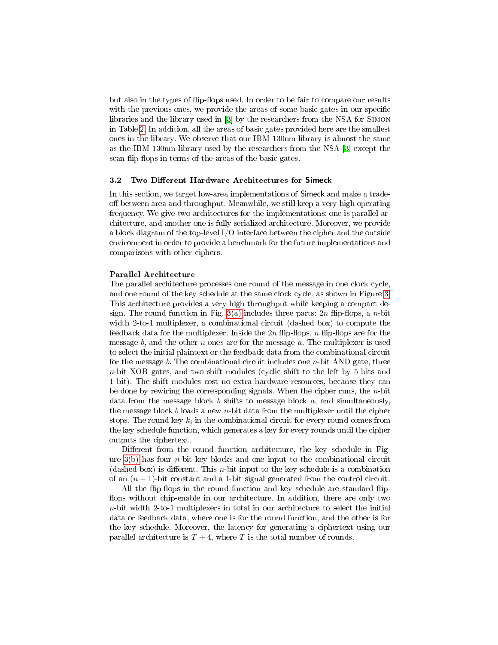but also in the types of flip-flops used. In order to be fair to compare our results with the previous ones, we provide the areas of some basic gates in our specific libraries and the library used in [\[3\]](#page-18-3) by the researchers from the NSA for Simon in Table [2.](#page-6-0) In addition, all the areas of basic gates provided here are the smallest ones in the library. We observe that our IBM 130nm library is almost the same as the IBM 130nm library used by the researchers from the NSA [\[3\]](#page-18-3) except the scan flip-flops in terms of the areas of the basic gates.

#### 3.2 Two Different Hardware Architectures for Simeck

In this section, we target low-area implementations of Simeck and make a tradeoff between area and throughput. Meanwhile, we still keep a very high operating frequency. We give two architectures for the implementations: one is parallel architecture, and another one is fully serialized architecture. Moreover, we provide a block diagram of the top-level I/O interface between the cipher and the outside environment in order to provide a benchmark for the future implementations and comparisons with other ciphers.

#### Parallel Architecture

The parallel architecture processes one round of the message in one clock cycle, and one round of the key schedule at the same clock cycle, as shown in Figure [3.](#page-8-0) This architecture provides a very high throughput while keeping a compact de-sign. The round function in Fig. [3\(a\)](#page-8-1) includes three parts: 2n flip-flops, a n-bit width 2-to-1 multiplexer, a combinational circuit (dashed box) to compute the feedback data for the multiplexer. Inside the  $2n$  flip-flops, n flip-flops are for the message  $b$ , and the other  $n$  ones are for the message  $a$ . The multiplexer is used to select the initial plaintext or the feedback data from the combinational circuit for the message  $b$ . The combinational circuit includes one  $n$ -bit AND gate, three n-bit XOR gates, and two shift modules (cyclic shift to the left by 5 bits and 1 bit). The shift modules cost no extra hardware resources, because they can be done by rewiring the corresponding signals. When the cipher runs, the  $n$ -bit data from the message block  $b$  shifts to message block  $a$ , and simultaneously, the message block b loads a new n-bit data from the multiplexer until the cipher stops. The round key  $k_i$  in the combinational circuit for every round comes from the key schedule function, which generates a key for every rounds until the cipher outputs the ciphertext.

Different from the round function architecture, the key schedule in Figure  $3(b)$  has four *n*-bit key blocks and one input to the combinational circuit (dashed box) is different. This *n*-bit input to the key schedule is a combination of an  $(n - 1)$ -bit constant and a 1-bit signal generated from the control circuit.

All the flip-flops in the round function and key schedule are standard flipflops without chip-enable in our architecture. In addition, there are only two n-bit width 2-to-1 multiplexers in total in our architecture to select the initial data or feedback data, where one is for the round function, and the other is for the key schedule. Moreover, the latency for generating a ciphertext using our parallel architecture is  $T + 4$ , where T is the total number of rounds.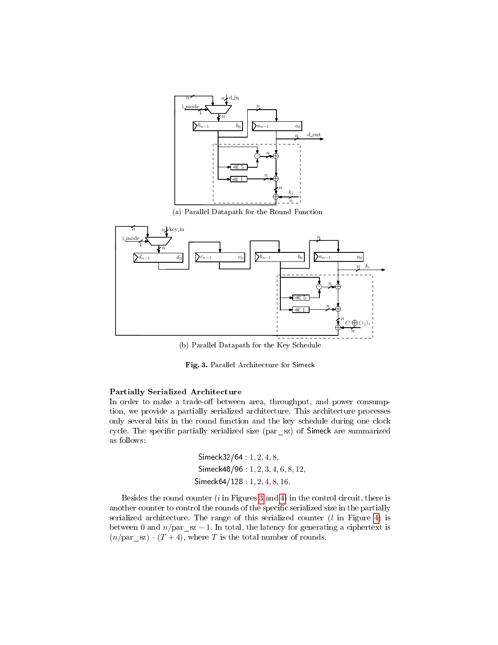<span id="page-8-1"></span>

(a) Parallel Datapath for the Round Function

<span id="page-8-2"></span>

(b) Parallel Datapath for the Key Schedule

<span id="page-8-0"></span>Fig. 3. Parallel Architecture for Simeck

#### Partially Serialized Architecture

In order to make a trade-off between area, throughput, and power consumption, we provide a partially serialized architecture. This architecture processes only several bits in the round function and the key schedule during one clock cycle. The specific partially serialized size (par sz) of Simeck are summarized as follows:

> Simeck32/64 : 1, 2, 4, 8, Simeck48/96 : 1, 2, 3, 4, 6, 8, 12, Simeck64/128 : 1, 2, 4, 8, 16.

Besides the round counter  $(i$  in Figures [3](#page-8-0) and [4\)](#page-9-0) in the control circuit, there is another counter to control the rounds of the specific serialized size in the partially serialized architecture. The range of this serialized counter  $(l$  in Figure [4\)](#page-9-0) is between 0 and  $n/par\_sz - 1$ . In total, the latency for generating a ciphertext is  $(n/par\_sz) \cdot (T + 4)$ , where T is the total number of rounds.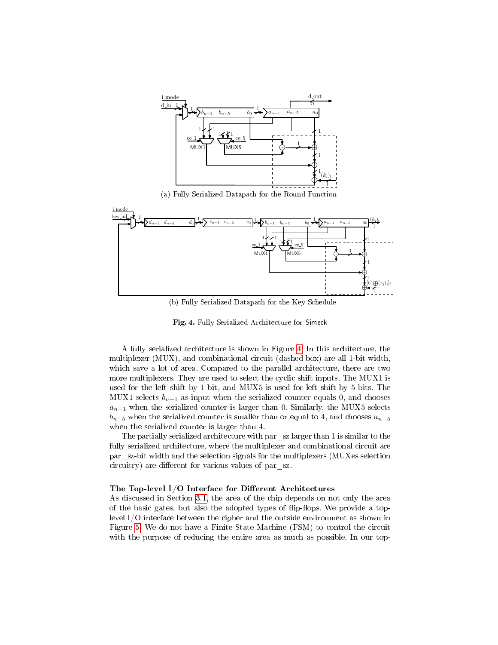

(a) Fully Serialized Datapath for the Round Function



(b) Fully Serialized Datapath for the Key Schedule

<span id="page-9-0"></span>Fig. 4. Fully Serialized Architecture for Simeck

A fully serialized architecture is shown in Figure [4.](#page-9-0) In this architecture, the multiplexer (MUX), and combinational circuit (dashed box) are all 1-bit width, which save a lot of area. Compared to the parallel architecture, there are two more multiplexers. They are used to select the cyclic shift inputs. The MUX1 is used for the left shift by 1 bit, and MUX5 is used for left shift by 5 bits. The MUX1 selects  $b_{n-1}$  as input when the serialized counter equals 0, and chooses  $a_{n-1}$  when the serialized counter is larger than 0. Similarly, the MUX5 selects  $b_{n-5}$  when the serialized counter is smaller than or equal to 4, and chooses  $a_{n-5}$ when the serialized counter is larger than 4.

The partially serialized architecture with par\_sz larger than 1 is similar to the fully serialized architecture, where the multiplexer and combinational circuit are par\_sz-bit width and the selection signals for the multiplexers (MUXes selection circuitry) are different for various values of par sz.

#### The Top-level  $I/O$  Interface for Different Architectures

As discussed in Section [3.1,](#page-6-1) the area of the chip depends on not only the area of the basic gates, but also the adopted types of flip-flops. We provide a toplevel I/O interface between the cipher and the outside environment as shown in Figure [5.](#page-10-0) We do not have a Finite State Machine (FSM) to control the circuit with the purpose of reducing the entire area as much as possible. In our top-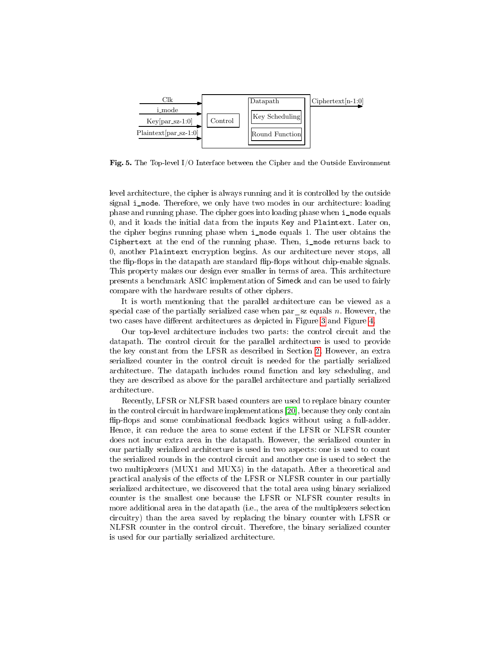

<span id="page-10-0"></span>Fig. 5. The Top-level I/O Interface between the Cipher and the Outside Environment

level architecture, the cipher is always running and it is controlled by the outside signal i\_mode. Therefore, we only have two modes in our architecture: loading phase and running phase. The cipher goes into loading phase when i\_mode equals 0, and it loads the initial data from the inputs Key and Plaintext. Later on, the cipher begins running phase when i\_mode equals 1. The user obtains the Ciphertext at the end of the running phase. Then, i\_mode returns back to 0, another Plaintext encryption begins. As our architecture never stops, all the flip-flops in the datapath are standard flip-flops without chip-enable signals. This property makes our design ever smaller in terms of area. This architecture presents a benchmark ASIC implementation of Simeck and can be used to fairly compare with the hardware results of other ciphers.

It is worth mentioning that the parallel architecture can be viewed as a special case of the partially serialized case when par  $\overline{sz}$  equals n. However, the two cases have different architectures as depicted in Figure [3](#page-8-0) and Figure [4.](#page-9-0)

Our top-level architecture includes two parts: the control circuit and the datapath. The control circuit for the parallel architecture is used to provide the key constant from the LFSR as described in Section [2.](#page-3-0) However, an extra serialized counter in the control circuit is needed for the partially serialized architecture. The datapath includes round function and key scheduling, and they are described as above for the parallel architecture and partially serialized architecture.

Recently, LFSR or NLFSR based counters are used to replace binary counter in the control circuit in hardware implementations [\[20\]](#page-19-10), because they only contain flip-flops and some combinational feedback logics without using a full-adder. Hence, it can reduce the area to some extent if the LFSR or NLFSR counter does not incur extra area in the datapath. However, the serialized counter in our partially serialized architecture is used in two aspects: one is used to count the serialized rounds in the control circuit and another one is used to select the two multiplexers (MUX1 and MUX5) in the datapath. After a theoretical and practical analysis of the effects of the LFSR or NLFSR counter in our partially serialized architecture, we discovered that the total area using binary serialized counter is the smallest one because the LFSR or NLFSR counter results in more additional area in the datapath (i.e., the area of the multiplexers selection circuitry) than the area saved by replacing the binary counter with LFSR or NLFSR counter in the control circuit. Therefore, the binary serialized counter is used for our partially serialized architecture.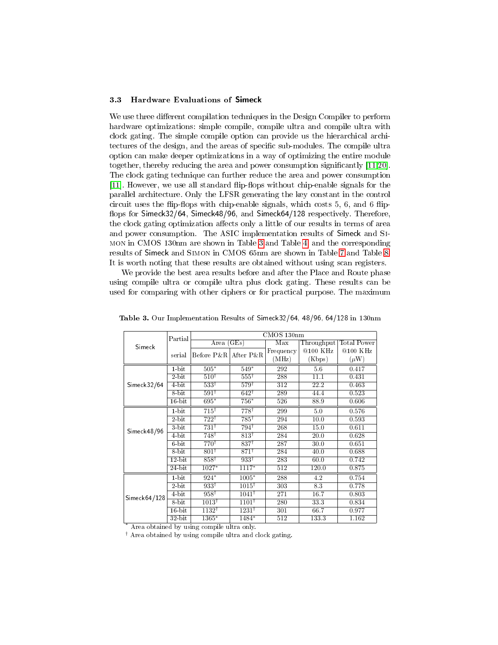## 3.3 Hardware Evaluations of Simeck

We use three different compilation techniques in the Design Compiler to perform hardware optimizations: simple compile, compile ultra and compile ultra with clock gating. The simple compile option can provide us the hierarchical architectures of the design, and the areas of specific sub-modules. The compile ultra option can make deeper optimizations in a way of optimizing the entire module together, thereby reducing the area and power consumption significantly [\[11](#page-18-1)[,20\]](#page-19-10). The clock gating technique can further reduce the area and power consumption [\[11\]](#page-18-1). However, we use all standard flip-flops without chip-enable signals for the parallel architecture. Only the LFSR generating the key constant in the control circuit uses the flip-flops with chip-enable signals, which costs  $5, 6$ , and  $6$  flipflops for Simeck32/64, Simeck48/96, and Simeck64/128 respectively. Therefore, the clock gating optimization affects only a little of our results in terms of area and power consumption. The ASIC implementation results of Simeck and Simon in CMOS 130nm are shown in Table [3](#page-11-0) and Table [4,](#page-12-0) and the corresponding results of Simeck and Simon in CMOS 65nm are shown in Table [7](#page-20-4) and Table [8.](#page-21-0) It is worth noting that these results are obtained without using scan registers.

We provide the best area results before and after the Place and Route phase using compile ultra or compile ultra plus clock gating. These results can be used for comparing with other ciphers or for practical purpose. The maximum

|              | Partial             | $CMOS$ 130 $nm$      |                  |           |            |                     |  |
|--------------|---------------------|----------------------|------------------|-----------|------------|---------------------|--|
| Simeck       |                     | Area $(GEs)$         |                  | Max       | Throughput | Total Power         |  |
|              | serial              | Before P&R After P&R |                  | Frequency | @100 KHz   | $@100~\mathrm{KHz}$ |  |
|              |                     |                      |                  | (MHz)     | (Kbps)     | $(\mu W)$           |  |
|              | $1$ bit             | $505*$               | $549*$           | 292       | 5.6        | 0.417               |  |
|              | 2 bit               | $510^{\dagger}$      | $555^{\dagger}$  | 288       | 11.1       | 0.431               |  |
| Simeck32/64  | $4$ bit             | $533^{\dagger}$      | $579^{\dagger}$  | 312       | 22.2       | 0.463               |  |
|              | 8 bit               | $591^{\dagger}$      | $642^{\dagger}$  | 289       | 44.4       | 0.523               |  |
|              | $16$ bit            | 695*                 | 756*             | 526       | 88.9       | 0.606               |  |
|              | $1$ bit             | $715^{\dagger}$      | $778^{\dagger}$  | 299       | 5.0        | 0.576               |  |
|              | $2$ bit             | $722^{\dagger}$      | $785^{\dagger}$  | 294       | 10.0       | 0.593               |  |
| Simeck48/96  | 3 bit               | $731^{\dagger}$      | $794^{\dagger}$  | 268       | 15.0       | 0.611               |  |
|              | 4 bit               | $748^{\dagger}$      | $813^{\dagger}$  | 284       | 20.0       | 0.628               |  |
|              | $6$ bit             | $770^{\dagger}$      | 837 <sup>†</sup> | 287       | 30.0       | 0.651               |  |
|              | 8 bit               | $801^{\dagger}$      | $871^{\dagger}$  | 284       | 40.0       | 0.688               |  |
|              | $\overline{12}$ bit | $858^{\dagger}$      | $933^{\dagger}$  | 283       | 60.0       | 0.742               |  |
|              | 24 bit              | $1027*$              | 1117*            | 512       | 120.0      | 0.875               |  |
|              | 1 bit               | $924*$               | $1005*$          | 288       | 4.2        | 0.754               |  |
|              | $2$ bit             | $933^{\dagger}$      | $1015^{\dagger}$ | 303       | 8.3        | 0.778               |  |
| Simeck64/128 | 4 bit               | $958^{\dagger}$      | $1041^{\dagger}$ | 271       | 16.7       | 0.803               |  |
|              | 8 bit               | $1013^{\dagger}$     | $1101^{\dagger}$ | 280       | 33.3       | 0.834               |  |
|              | $16$ bit            | $1132^{\dagger}$     | $1231^{\dagger}$ | 301       | 66.7       | 0.977               |  |
|              | 32 bit              | 1365*                | 1484*            | 512       | 133.3      | 1.162               |  |

<span id="page-11-0"></span>Table 3. Our Implementation Results of Simeck32/64, 48/96, 64/128 in 130nm

Area obtained by using compile ultra only.

† Area obtained by using compile ultra and clock gating.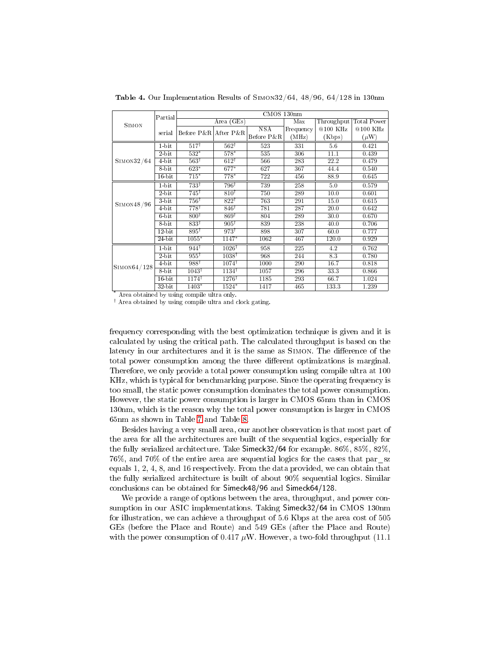|              | Partial   | $CMOS$ 130 $nm$      |                  |            |           |            |                    |  |
|--------------|-----------|----------------------|------------------|------------|-----------|------------|--------------------|--|
| <b>SIMON</b> |           |                      | Area (GEs)       |            | Max       | Throughput | <b>Total Power</b> |  |
|              | serial    | Before P&R After P&R |                  | $NSA$      | Frequency | @100 KHz   | $@100$ KHz         |  |
|              |           |                      |                  | Before P&R | (MHz)     | (Kbps)     | $(\mu W)$          |  |
|              | $1-bit$   | $517^{\dagger}$      | $562^{\dagger}$  | 523        | 331       | 5.6        | 0.421              |  |
|              | $2$ -bit  | $532*$               | $578*$           | 535        | 306       | 11.1       | 0.439              |  |
| SIMON32/64   | $4$ -bit  | $563^{\dagger}$      | $612^{\dagger}$  | 566        | 283       | 22.2       | 0.479              |  |
|              | 8-bit     | $623*$               | 677*             | 627        | 367       | 44.4       | 0.540              |  |
|              | $16$ -bit | $715*$               | $778*$           | 722        | 456       | 88.9       | 0.645              |  |
|              | $1-bit$   | $733^{\dagger}$      | $796^{\dagger}$  | 739        | 258       | 5.0        | 0.579              |  |
|              | $2$ -bit  | $745^{\dagger}$      | $810^{\dagger}$  | 750        | 289       | 10.0       | 0.601              |  |
| SIMON48/96   | $3$ -bit  | $756^{\dagger}$      | $822^{\dagger}$  | 763        | 291       | 15.0       | 0.615              |  |
|              | 4-bit     | $778^{\dagger}$      | $846^{\dagger}$  | 781        | 287       | 20.0       | 0.642              |  |
|              | $6$ -bit  | $800^{\dagger}$      | $869^{\dagger}$  | 804        | 289       | 30.0       | 0.670              |  |
|              | 8-bit     | $833^{\dagger}$      | $905^{\dagger}$  | 839        | 238       | 40.0       | 0.706              |  |
|              | $12$ -bit | $895^{\dagger}$      | $973^{\dagger}$  | 898        | 307       | 60.0       | 0.777              |  |
|              | 24-bit    | $1055*$              | 1147*            | 1062       | 467       | 120.0      | 0.929              |  |
|              | $1-bit$   | $944^{\dagger}$      | $1026^{\dagger}$ | 958        | 225       | 4.2        | 0.762              |  |
|              | $2$ -bit  | $955^{\dagger}$      | $1038^{\dagger}$ | 968        | 244       | 8.3        | 0.780              |  |
| SIMON64/128  | 4-bit     | $988^{\dagger}$      | $1074^{\dagger}$ | 1000       | 290       | 16.7       | 0.818              |  |
|              | $8$ -bit  | $1043^{\dagger}$     | $1134^{\dagger}$ | 1057       | 296       | 33.3       | 0.866              |  |
|              | $16$ -bit | $1174^{\dagger}$     | $1276^{\dagger}$ | 1185       | 293       | 66.7       | 1.024              |  |
|              | $32$ -bit | $1403*$              | $1524*$          | 1417       | 465       | 133.3      | 1.239              |  |

<span id="page-12-0"></span>Table 4. Our Implementation Results of Simon32/64, 48/96, 64/128 in 130nm

Area obtained by using compile ultra only.

† Area obtained by using compile ultra and clock gating.

frequency corresponding with the best optimization technique is given and it is calculated by using the critical path. The calculated throughput is based on the latency in our architectures and it is the same as SIMON. The difference of the total power consumption among the three different optimizations is marginal. Therefore, we only provide a total power consumption using compile ultra at 100 KHz, which is typical for benchmarking purpose. Since the operating frequency is too small, the static power consumption dominates the total power consumption. However, the static power consumption is larger in CMOS 65nm than in CMOS 130nm, which is the reason why the total power consumption is larger in CMOS 65nm as shown in Table [7](#page-20-4) and Table [8.](#page-21-0)

Besides having a very small area, our another observation is that most part of the area for all the architectures are built of the sequential logics, especially for the fully serialized architecture. Take Simeck32/64 for example. 86%, 85%, 82%, 76%, and 70% of the entire area are sequential logics for the cases that par\_sz equals 1, 2, 4, 8, and 16 respectively. From the data provided, we can obtain that the fully serialized architecture is built of about 90% sequential logics. Similar conclusions can be obtained for Simeck48/96 and Simeck64/128.

We provide a range of options between the area, throughput, and power consumption in our ASIC implementations. Taking Simeck32/64 in CMOS 130nm for illustration, we can achieve a throughput of 5.6 Kbps at the area cost of 505 GEs (before the Place and Route) and 549 GEs (after the Place and Route) with the power consumption of 0.417  $\mu$ W. However, a two-fold throughput (11.1)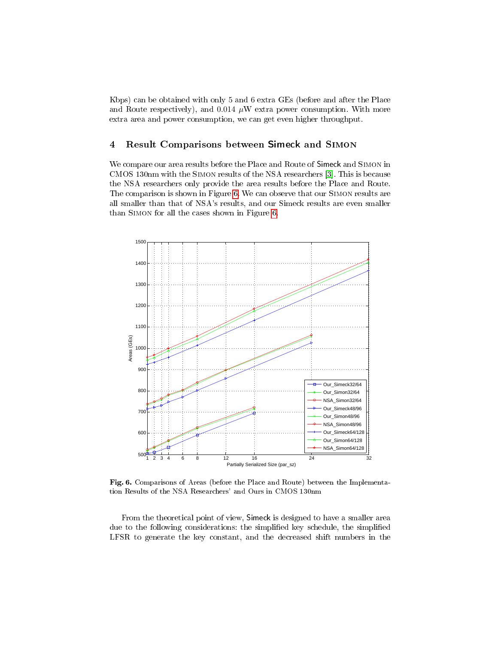Kbps) can be obtained with only 5 and 6 extra GEs (before and after the Place and Route respectively), and  $0.014 \mu W$  extra power consumption. With more extra area and power consumption, we can get even higher throughput.

## <span id="page-13-0"></span>4 Result Comparisons between Simeck and Simon

We compare our area results before the Place and Route of Simeck and Simon in CMOS 130nm with the Simon results of the NSA researchers [\[3\]](#page-18-3). This is because the NSA researchers only provide the area results before the Place and Route. The comparison is shown in Figure [6.](#page-13-1) We can observe that our Simon results are all smaller than that of NSA's results, and our Simeck results are even smaller than Simon for all the cases shown in Figure [6.](#page-13-1)



<span id="page-13-1"></span>Fig. 6. Comparisons of Areas (before the Place and Route) between the Implementation Results of the NSA Researchers' and Ours in CMOS 130nm

From the theoretical point of view, Simeck is designed to have a smaller area due to the following considerations: the simplified key schedule, the simplified LFSR to generate the key constant, and the decreased shift numbers in the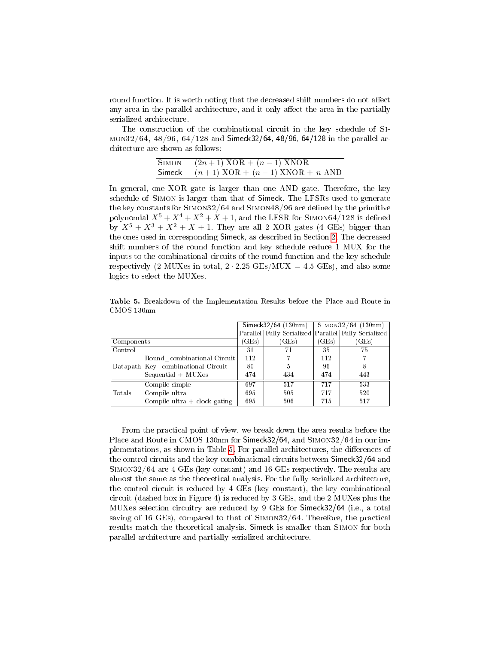round function. It is worth noting that the decreased shift numbers do not affect any area in the parallel architecture, and it only affect the area in the partially serialized architecture.

The construction of the combinational circuit in the key schedule of Simon32/64, 48/96, 64/128 and Simeck32/64, 48/96, 64/128 in the parallel architecture are shown as follows:

| SIMON $(2n+1)$ XOR + $(n-1)$ XNOR         |
|-------------------------------------------|
| Simeck $(n+1)$ XOR + $(n-1)$ XNOR + n AND |

In general, one XOR gate is larger than one AND gate. Therefore, the key schedule of Simon is larger than that of Simeck. The LFSRs used to generate the key constants for  $\text{SIMON32}/64$  and  $\text{SIMON48}/96$  are defined by the primitive polynomial  $X^5 + X^4 + X^2 + X + 1$ , and the LFSR for SIMON64/128 is defined by  $X^5 + X^3 + X^2 + X + 1$ . They are all 2 XOR gates (4 GEs) bigger than the ones used in corresponding Simeck, as described in Section [2.](#page-3-0) The decreased shift numbers of the round function and key schedule reduce 1 MUX for the inputs to the combinational circuits of the round function and the key schedule respectively (2 MUXes in total,  $2 \cdot 2.25$  GEs/MUX = 4.5 GEs), and also some logics to select the MUXes.

<span id="page-14-0"></span>Table 5. Breakdown of the Implementation Results before the Place and Route in CMOS 130nm

|            |                                    | Simeck32/64 (130nm) |       | Simon32/64 (130nm) |                                                     |
|------------|------------------------------------|---------------------|-------|--------------------|-----------------------------------------------------|
|            |                                    |                     |       |                    | Parallel Fully Serialized Parallel Fully Serialized |
| Components |                                    | (GEs)               | (GEs) | (GEs)              | (GEs)                                               |
| Control    |                                    | 31                  | 71    | 35                 | 75                                                  |
|            | Round combinational Circuit        | 112                 |       | 112                |                                                     |
|            | Datapath Key combinational Circuit | 80                  | 5     | 96                 | 8                                                   |
|            | $Sequential + MUXes$               | 474                 | 434   | 474                | 443                                                 |
|            | Compile simple                     | 697                 | 517   | 717                | 533                                                 |
| Totals     | Compile ultra                      | 695                 | 505   | 717                | 520                                                 |
|            | Compile ultra $+$ clock gating     | 695                 | 506   | 715                | 517                                                 |

From the practical point of view, we break down the area results before the Place and Route in CMOS 130nm for Simeck32/64, and Simon32/64 in our im-plementations, as shown in Table [5.](#page-14-0) For parallel architectures, the differences of the control circuits and the key combinational circuits between Simeck32/64 and Simon32/64 are 4 GEs (key constant) and 16 GEs respectively. The results are almost the same as the theoretical analysis. For the fully serialized architecture, the control circuit is reduced by 4 GEs (key constant), the key combinational circuit (dashed box in Figure 4) is reduced by 3 GEs, and the 2 MUXes plus the MUXes selection circuitry are reduced by 9 GEs for Simeck32/64 (i.e., a total saving of 16 GEs), compared to that of Simon32/64. Therefore, the practical results match the theoretical analysis. Simeck is smaller than Simon for both parallel architecture and partially serialized architecture.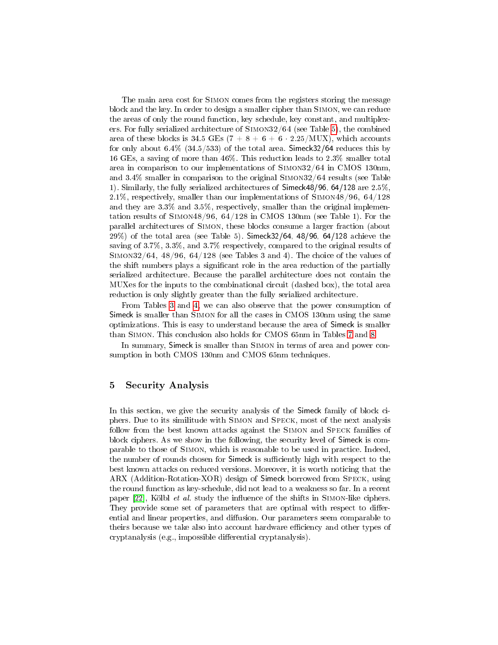The main area cost for Simon comes from the registers storing the message block and the key. In order to design a smaller cipher than Simon, we can reduce the areas of only the round function, key schedule, key constant, and multiplexers. For fully serialized architecture of Simon32/64 (see Table [5\)](#page-14-0), the combined area of these blocks is 34.5 GEs (7 + 8 + 6 + 6  $\cdot$  2.25/MUX), which accounts for only about  $6.4\%$   $(34.5/533)$  of the total area. Simeck32/64 reduces this by 16 GEs, a saving of more than 46%. This reduction leads to 2.3% smaller total area in comparison to our implementations of Simon32/64 in CMOS 130nm, and 3.4% smaller in comparison to the original Simon32/64 results (see Table 1). Similarly, the fully serialized architectures of Simeck48/96, 64/128 are 2.5%, 2.1%, respectively, smaller than our implementations of Simon48/96, 64/128 and they are 3.3% and 3.5%, respectively, smaller than the original implementation results of Simon48/96, 64/128 in CMOS 130nm (see Table 1). For the parallel architectures of Simon, these blocks consume a larger fraction (about 29%) of the total area (see Table 5). Simeck32/64, 48/96, 64/128 achieve the saving of 3.7%, 3.3%, and 3.7% respectively, compared to the original results of SIMON32/64,  $48/96$ ,  $64/128$  (see Tables 3 and 4). The choice of the values of the shift numbers plays a signicant role in the area reduction of the partially serialized architecture. Because the parallel architecture does not contain the MUXes for the inputs to the combinational circuit (dashed box), the total area reduction is only slightly greater than the fully serialized architecture.

From Tables [3](#page-11-0) and [4,](#page-12-0) we can also observe that the power consumption of Simeck is smaller than Simon for all the cases in CMOS 130nm using the same optimizations. This is easy to understand because the area of Simeck is smaller than Simon. This conclusion also holds for CMOS 65nm in Tables [7](#page-20-4) and [8.](#page-21-0)

In summary, Simeck is smaller than Simon in terms of area and power consumption in both CMOS 130nm and CMOS 65nm techniques.

## <span id="page-15-0"></span>5 Security Analysis

In this section, we give the security analysis of the Simeck family of block ciphers. Due to its similitude with Simon and Speck, most of the next analysis follow from the best known attacks against the Simon and Speck families of block ciphers. As we show in the following, the security level of Simeck is comparable to those of Simon, which is reasonable to be used in practice. Indeed, the number of rounds chosen for Simeck is sufficiently high with respect to the best known attacks on reduced versions. Moreover, it is worth noticing that the ARX (Addition-Rotation-XOR) design of Simeck borrowed from Speck, using the round function as key-schedule, did not lead to a weakness so far. In a recent paper  $[22]$ , Kölbl *et al.* study the influence of the shifts in SIMON-like ciphers. They provide some set of parameters that are optimal with respect to differential and linear properties, and diffusion. Our parameters seem comparable to theirs because we take also into account hardware efficiency and other types of cryptanalysis (e.g., impossible differential cryptanalysis).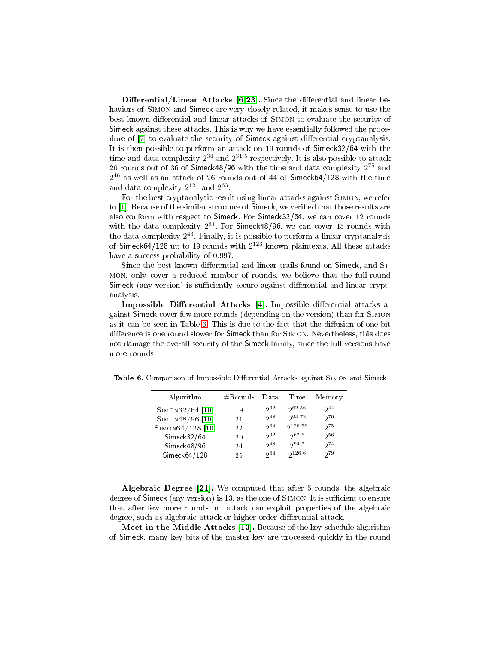$Differential/Linear$  Attacks [\[6,](#page-18-10)[23\]](#page-19-12). Since the differential and linear behaviors of SIMON and Simeck are very closely related, it makes sense to use the best known differential and linear attacks of SIMON to evaluate the security of Simeck against these attacks. This is why we have essentially followed the proce-dure of [\[7\]](#page-18-5) to evaluate the security of Simeck against differential cryptanalysis. It is then possible to perform an attack on 19 rounds of Simeck32/64 with the time and data complexity  $2^{34}$  and  $2^{31.5}$  respectively. It is also possible to attack  $20$  rounds out of  $36$  of <code>Simeck48/96</code> with the time and data complexity  $2^{75}$  and  $2^{46}$  as well as an attack of 26 rounds out of 44 of Simeck64/128 with the time and data complexity  $2^{121}$  and  $2^{63}$ .

For the best cryptanalytic result using linear attacks against Simon, we refer to [\[1\]](#page-18-6). Because of the similar structure of Simeck, we verified that those results are also conform with respect to Simeck. For Simeck32/64, we can cover 12 rounds with the data complexity  $2^{31}$ . For Simeck48/96, we can cover 15 rounds with the data complexity 2 <sup>43</sup>. Finally, it is possible to perform a linear cryptanalysis of Simeck64/128 up to 19 rounds with  $2^{123}$  known plaintexts. All these attacks have a success probability of 0.997.

Since the best known differential and linear trails found on Simeck, and SImon, only cover a reduced number of rounds, we believe that the full-round Simeck (any version) is sufficiently secure against differential and linear cryptanalysis.

Impossible Differential Attacks [\[4\]](#page-18-11). Impossible differential attacks against Simeck cover few more rounds (depending on the version) than for Simon as it can be seen in Table [6.](#page-16-0) This is due to the fact that the diffusion of one bit difference is one round slower for Simeck than for SIMON. Nevertheless, this does not damage the overall security of the Simeck family, since the full versions have more rounds.

<span id="page-16-0"></span>

| Algorithm        | $\#\mathrm{Rounds}$ | Data     | Time     | Memory   |
|------------------|---------------------|----------|----------|----------|
| SIMON32/64 [10]  | 19                  | $2^{32}$ | $200-56$ | $2^{44}$ |
| SIMON48/96 [10]  | 21                  | $2^{48}$ | 294.73   | $2^{70}$ |
| SIMON64/128 [10] | 22                  | $2^{64}$ | 2126.56  | $2^{75}$ |
| Simeck32/64      | 20                  | $2^{32}$ | $200-6$  | 256      |
| Simeck48/96      | 24                  | $2^{48}$ | 294.7    | 274      |
| Simeck64/128     | 25                  | 264      | 2126.6   | 279      |

Table 6. Comparison of Impossible Differential Attacks against SIMON and Simeck

Algebraic Degree [\[21\]](#page-19-13). We computed that after 5 rounds, the algebraic degree of Simeck (any version) is  $13$ , as the one of SIMON. It is sufficient to ensure that after few more rounds, no attack can exploit properties of the algebraic degree, such as algebraic attack or higher-order differential attack.

Meet-in-the-Middle Attacks [\[13\]](#page-18-12). Because of the key schedule algorithm of Simeck, many key bits of the master key are processed quickly in the round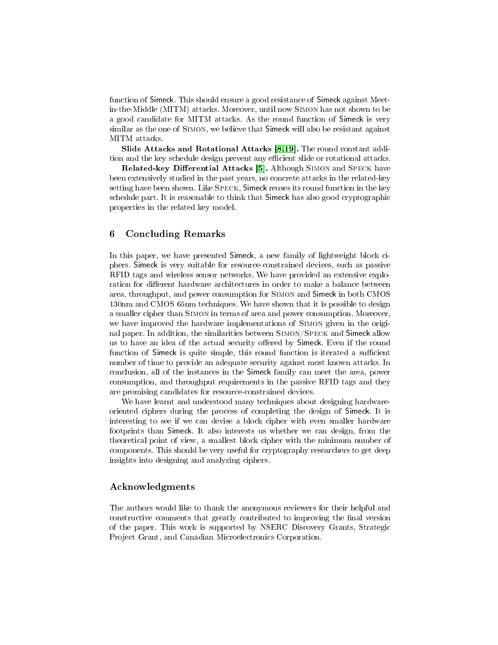function of Simeck. This should ensure a good resistance of Simeck against Meetin-the-Middle (MITM) attacks. Moreover, until now Simon has not shown to be a good candidate for MITM attacks. As the round function of Simeck is very similar as the one of Simon, we believe that Simeck will also be resistant against MITM attacks.

Slide Attacks and Rotational Attacks [\[8,](#page-18-13)[19\]](#page-19-14). The round constant addition and the key schedule design prevent any efficient slide or rotational attacks.

Related-key Differential Attacks [\[5\]](#page-18-14). Although SIMON and SPECK have been extensively studied in the past years, no concrete attacks in the related-key setting have been shown. Like Speck, Simeck reuses its round function in the key schedule part. It is reasonable to think that Simeck has also good cryptographic properties in the related key model.

## 6 Concluding Remarks

In this paper, we have presented Simeck, a new family of lightweight block ciphers. Simeck is very suitable for resource-constrained devices, such as passive RFID tags and wireless sensor networks. We have provided an extensive exploration for different hardware architectures in order to make a balance between area, throughput, and power consumption for Simon and Simeck in both CMOS 130nm and CMOS 65nm techniques. We have shown that it is possible to design a smaller cipher than Simon in terms of area and power consumption. Moreover, we have improved the hardware implementations of Simon given in the original paper. In addition, the similarities between Simon/Speck and Simeck allow us to have an idea of the actual security offered by Simeck. Even if the round function of Simeck is quite simple, this round function is iterated a sufficient number of time to provide an adequate security against most known attacks. In conclusion, all of the instances in the Simeck family can meet the area, power consumption, and throughput requirements in the passive RFID tags and they are promising candidates for resource-constrained devices.

We have learnt and understood many techniques about designing hardwareoriented ciphers during the process of completing the design of Simeck. It is interesting to see if we can devise a block cipher with even smaller hardware footprints than Simeck. It also interests us whether we can design, from the theoretical point of view, a smallest block cipher with the minimum number of components. This should be very useful for cryptography researchers to get deep insights into designing and analyzing ciphers.

## Acknowledgments

The authors would like to thank the anonymous reviewers for their helpful and constructive comments that greatly contributed to improving the final version of the paper. This work is supported by NSERC Discovery Grants, Strategic Project Grant, and Canadian Microelectronics Corporation.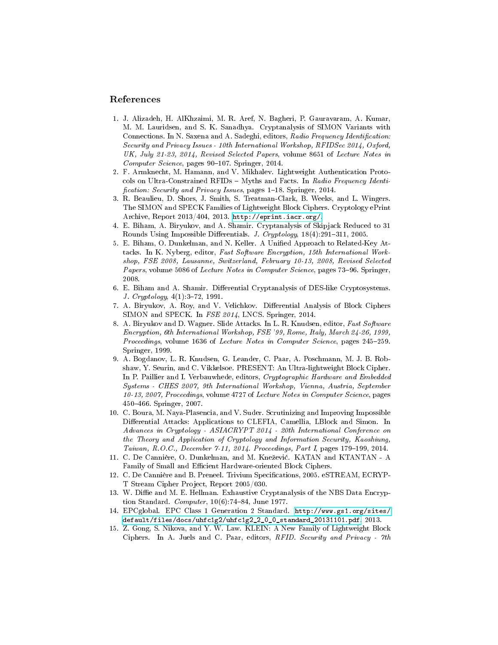## References

- <span id="page-18-6"></span>1. J. Alizadeh, H. AlKhzaimi, M. R. Aref, N. Bagheri, P. Gauravaram, A. Kumar, M. M. Lauridsen, and S. K. Sanadhya. Cryptanalysis of SIMON Variants with Connections. In N. Saxena and A. Sadeghi, editors, Radio Frequency Identification: Security and Privacy Issues - 10th International Workshop, RFIDSec 2014, Oxford, UK, July 21-23, 2014, Revised Selected Papers, volume 8651 of Lecture Notes in  $Computer$  Science, pages 90–107. Springer, 2014.
- <span id="page-18-8"></span>2. F. Armknecht, M. Hamann, and V. Mikhalev. Lightweight Authentication Protocols on Ultra-Constrained RFIDs - Myths and Facts. In Radio Frequency Identification: Security and Privacy Issues, pages 1-18. Springer, 2014.
- <span id="page-18-3"></span>3. R. Beaulieu, D. Shors, J. Smith, S. Treatman-Clark, B. Weeks, and L. Wingers. The SIMON and SPECK Families of Lightweight Block Ciphers. Cryptology ePrint Archive, Report 2013/404, 2013. [http://eprint.iacr.org/.](http://eprint.iacr.org/)
- <span id="page-18-11"></span>4. E. Biham, A. Biryukov, and A. Shamir. Cryptanalysis of Skipjack Reduced to 31 Rounds Using Impossible Differentials. J. Cryptology, 18(4):291-311, 2005.
- <span id="page-18-14"></span>5. E. Biham, O. Dunkelman, and N. Keller. A Unied Approach to Related-Key Attacks. In K. Nyberg, editor, Fast Software Encryption, 15th International Workshop, FSE 2008, Lausanne, Switzerland, February 10-13, 2008, Revised Selected Papers, volume 5086 of Lecture Notes in Computer Science, pages 73–96. Springer, 2008.
- <span id="page-18-10"></span>6. E. Biham and A. Shamir. Differential Cryptanalysis of DES-like Cryptosystems. J.  $Cryptology, 4(1):3-72, 1991.$
- <span id="page-18-5"></span>7. A. Biryukov, A. Roy, and V. Velichkov. Differential Analysis of Block Ciphers SIMON and SPECK. In FSE 2014, LNCS. Springer, 2014.
- <span id="page-18-13"></span>8. A. Biryukov and D. Wagner. Slide Attacks. In L. R. Knudsen, editor, Fast Software Encryption, 6th International Workshop, FSE '99, Rome, Italy, March 24-26, 1999, Proceedings, volume 1636 of Lecture Notes in Computer Science, pages 245-259. Springer, 1999.
- <span id="page-18-0"></span>9. A. Bogdanov, L. R. Knudsen, G. Leander, C. Paar, A. Poschmann, M. J. B. Robshaw, Y. Seurin, and C. Vikkelsoe. PRESENT: An Ultra-lightweight Block Cipher. In P. Paillier and I. Verbauwhede, editors, Cryptographic Hardware and Embedded Systems - CHES 2007, 9th International Workshop, Vienna, Austria, September 10-13, 2007, Proceedings, volume 4727 of Lecture Notes in Computer Science, pages 450466. Springer, 2007.
- <span id="page-18-7"></span>10. C. Boura, M. Naya-Plasencia, and V. Suder. Scrutinizing and Improving Impossible Differential Attacks: Applications to CLEFIA, Camellia, LBlock and Simon. In Advances in Cryptology - ASIACRYPT 2014 - 20th International Conference on the Theory and Application of Cryptology and Information Security, Kaoshiung, Taiwan, R.O.C., December  $7-11$ , 2014. Proceedings, Part I, pages 179-199, 2014.
- <span id="page-18-1"></span>11. C. De Cannière, O. Dunkelman, and M. Knežević. KATAN and KTANTAN - A Family of Small and Efficient Hardware-oriented Block Ciphers.
- <span id="page-18-4"></span>12. C. De Cannière and B. Preneel. Trivium Specifications, 2005. eSTREAM, ECRYP-T Stream Cipher Project, Report 2005/030.
- <span id="page-18-12"></span>13. W. Diffie and M. E. Hellman. Exhaustive Cryptanalysis of the NBS Data Encryption Standard. Computer,  $10(6)$ :74-84, June 1977.
- <span id="page-18-9"></span>14. EPCglobal. EPC Class 1 Generation 2 Standard. [http://www.gs1.org/sites/](http://www.gs1.org/sites/default/files/docs/uhfc1g2/uhfc1g2_2_0_0_standard_20131101.pdf) [default/files/docs/uhfc1g2/uhfc1g2\\_2\\_0\\_0\\_standard\\_20131101.pdf,](http://www.gs1.org/sites/default/files/docs/uhfc1g2/uhfc1g2_2_0_0_standard_20131101.pdf) 2013.
- <span id="page-18-2"></span>15. Z. Gong, S. Nikova, and Y. W. Law. KLEIN: A New Family of Lightweight Block Ciphers. In A. Juels and C. Paar, editors, RFID. Security and Privacy - 7th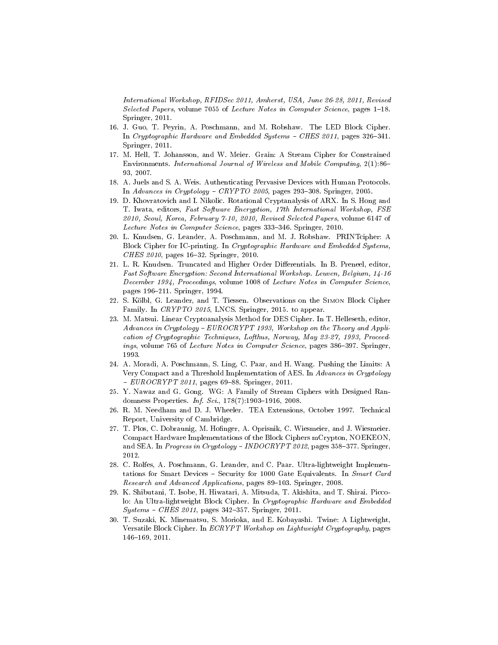International Workshop, RFIDSec 2011, Amherst, USA, June 26-28, 2011, Revised Selected Papers, volume 7055 of Lecture Notes in Computer Science, pages  $1-18$ . Springer, 2011.

- <span id="page-19-1"></span>16. J. Guo, T. Peyrin, A. Poschmann, and M. Robshaw. The LED Block Cipher. In Cryptographic Hardware and Embedded Systems - CHES 2011, pages 326-341. Springer, 2011.
- <span id="page-19-4"></span>17. M. Hell, T. Johansson, and W. Meier. Grain: A Stream Cipher for Constrained Environments. International Journal of Wireless and Mobile Computing, 2(1):86 93, 2007.
- <span id="page-19-6"></span>18. A. Juels and S. A. Weis. Authenticating Pervasive Devices with Human Protocols. In Advances in Cryptology – CRYPTO 2005, pages 293-308. Springer, 2005.
- <span id="page-19-14"></span>19. D. Khovratovich and I. Nikolic. Rotational Cryptanalysis of ARX. In S. Hong and T. Iwata, editors, Fast Software Encryption, 17th International Workshop, FSE 2010, Seoul, Korea, February 7-10, 2010, Revised Selected Papers, volume 6147 of Lecture Notes in Computer Science, pages 333-346. Springer, 2010.
- <span id="page-19-10"></span>20. L. Knudsen, G. Leander, A. Poschmann, and M. J. Robshaw. PRINTcipher: A Block Cipher for IC-printing. In Cryptographic Hardware and Embedded Systems, CHES 2010, pages 16-32. Springer, 2010.
- <span id="page-19-13"></span>21. L. R. Knudsen. Truncated and Higher Order Differentials. In B. Preneel, editor, Fast Software Encryption: Second International Workshop. Leuven, Belgium, 14-16 December 1994, Proceedings, volume 1008 of Lecture Notes in Computer Science, pages 196211. Springer, 1994.
- <span id="page-19-11"></span>22. S. Kölbl, G. Leander, and T. Tiessen. Observations on the Simon Block Cipher Family. In CRYPTO 2015, LNCS. Springer, 2015. to appear.
- <span id="page-19-12"></span>23. M. Matsui. Linear Cryptoanalysis Method for DES Cipher. In T. Helleseth, editor,  $Advances in Cryptology - EUROCRYPT 1993, Workshop on the Theory and Appli-$ cation of Cryptographic Techniques, Lofthus, Norway, May 23-27, 1993, Proceedings, volume 765 of Lecture Notes in Computer Science, pages  $386-397$ . Springer, 1993.
- <span id="page-19-7"></span>24. A. Moradi, A. Poschmann, S. Ling, C. Paar, and H. Wang. Pushing the Limits: A Very Compact and a Threshold Implementation of AES. In Advances in Cryptology  $-$  EUROCRYPT 2011, pages 69–88. Springer, 2011.
- <span id="page-19-5"></span>25. Y. Nawaz and G. Gong. WG: A Family of Stream Ciphers with Designed Randomness Properties. Inf. Sci.,  $178(7):1903-1916$ , 2008.
- <span id="page-19-0"></span>26. R. M. Needham and D. J. Wheeler. TEA Extensions, October 1997. Technical Report, University of Cambridge.
- <span id="page-19-8"></span>27. T. Plos, C. Dobraunig, M. Hofinger, A. Oprisnik, C. Wiesmeier, and J. Wiesmeier. Compact Hardware Implementations of the Block Ciphers mCrypton, NOEKEON, and SEA. In Progress in Cryptology -  $INDORYPT 2012$ , pages 358-377. Springer, 2012.
- <span id="page-19-9"></span>28. C. Rolfes, A. Poschmann, G. Leander, and C. Paar. Ultra-lightweight Implementations for Smart Devices - Security for 1000 Gate Equivalents. In Smart Card Research and Advanced Applications, pages 89-103. Springer, 2008.
- <span id="page-19-2"></span>29. K. Shibutani, T. Isobe, H. Hiwatari, A. Mitsuda, T. Akishita, and T. Shirai. Piccolo: An Ultra-lightweight Block Cipher. In Cryptographic Hardware and Embedded  $Systems - CHES 2011$ , pages 342-357. Springer, 2011.
- <span id="page-19-3"></span>30. T. Suzaki, K. Minematsu, S. Morioka, and E. Kobayashi. Twine: A Lightweight, Versatile Block Cipher. In ECRYPT Workshop on Lightweight Cryptography, pages 146169, 2011.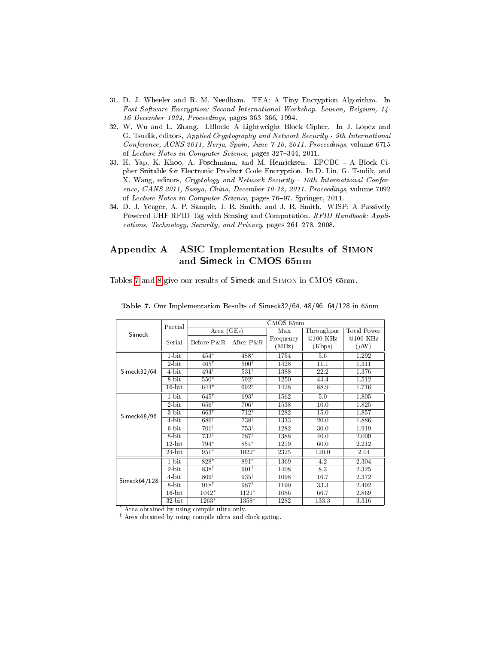- <span id="page-20-0"></span>31. D. J. Wheeler and R. M. Needham. TEA: A Tiny Encryption Algorithm. In Fast Software Encryption: Second International Workshop. Leuven, Belgium, 14- 16 December 1994, Proceedings, pages 363-366, 1994.
- <span id="page-20-2"></span>32. W. Wu and L. Zhang. LBlock: A Lightweight Block Cipher. In J. Lopez and G. Tsudik, editors, Applied Cryptography and Network Security - 9th International Conference, ACNS 2011, Nerja, Spain, June 7-10, 2011. Proceedings, volume 6715 of Lecture Notes in Computer Science, pages 327-344, 2011.
- <span id="page-20-1"></span>33. H. Yap, K. Khoo, A. Poschmann, and M. Henricksen. EPCBC - A Block Cipher Suitable for Electronic Product Code Encryption. In D. Lin, G. Tsudik, and X. Wang, editors, Cryptology and Network Security - 10th International Conference, CANS 2011, Sanya, China, December 10-12, 2011. Proceedings, volume 7092 of Lecture Notes in Computer Science, pages 76-97. Springer, 2011.
- <span id="page-20-3"></span>34. D. J. Yeager, A. P. Sample, J. R. Smith, and J. R. Smith. WISP: A Passively Powered UHF RFID Tag with Sensing and Computation. RFID Handbook: Applications, Technology, Security, and Privacy, pages 261-278, 2008.

## Appendix A ASIC Implementation Results of Simon and Simeck in CMOS 65nm

Tables [7](#page-20-4) and [8](#page-21-0) give our results of Simeck and Simon in CMOS 65nm.

|              | Partial   | CMOS 65nm          |                  |           |                    |                    |  |
|--------------|-----------|--------------------|------------------|-----------|--------------------|--------------------|--|
| Simeck       |           | Area $(GEs)$       |                  | Max       | Throughput         | <b>Total Power</b> |  |
|              | Serial    | Before P&R         | After P&R        | Frequency | $@100 \text{ KHz}$ | $@100$ KHz         |  |
|              |           |                    |                  | (MHz)     | (Kbps)             | $(\mu W)$          |  |
|              | $1 - bit$ | $454*$             | $488*$           | 1754      | 5.6                | 1.292              |  |
|              | $2$ -bit  | $465^{\dagger}$    | $500^{\dagger}$  | 1428      | 11.1               | 1.311              |  |
| Simeck32/64  | 4-bit     | $494^{\dagger}$    | $531^{\dagger}$  | 1388      | 22.2               | 1.376              |  |
|              | 8-bit     | $550*$             | $592*$           | 1250      | 44.4               | 1.512              |  |
|              | $16$ -bit | $644*$             | $692*$           | 1428      | 88.9               | 1.716              |  |
|              | $1-bit$   | $645^{\dagger}$    | $693^{\dagger}$  | 1562      | 5.0                | 1.805              |  |
|              | $2$ -bit  | $656^{\dagger}$    | 706 <sup>†</sup> | 1538      | 10.0               | 1.825              |  |
| Simeck48/96  | 3-bit     | $663^{\dagger}$    | $712^{\dagger}$  | 1282      | 15.0               | 1.857              |  |
|              | 4-bit     | $686$ <sup>T</sup> | $738^{\dagger}$  | 1333      | 20.0               | 1.886              |  |
|              | $6$ -bit  | $701$ <sup>†</sup> | 753 <sup>†</sup> | 1282      | 30.0               | 1.919              |  |
|              | 8-bit     | $732^{\dagger}$    | 787              | 1388      | 40.0               | 2.009              |  |
|              | $12$ -bit | $794*$             | $854*$           | 1219      | 60.0               | 2.212              |  |
|              | $24$ -bit | $951*$             | $1022*$          | 2325      | 120.0              | 2.44               |  |
|              | $1 - bit$ | $828*$             | $891*$           | 1369      | 4.2                | 2.304              |  |
|              | $2$ -bit  | 838 <sup>†</sup>   | $901^+$          | 1408      | 8.3                | 2.325              |  |
| Simeck64/128 | 4-bit     | 869 <sup>†</sup>   | $935^{\dagger}$  | 1098      | 16.7               | 2.372              |  |
|              | 8-bit     | $918$ <sup>T</sup> | $987^{\dagger}$  | 1190      | 33.3               | 2.492              |  |
|              | $16$ -bit | $1042*$            | $1121*$          | 1086      | 66.7               | 2.869              |  |
|              | $32$ bit  | $1263*$            | $1358*$          | 1282      | 133.3              | 3.316              |  |

<span id="page-20-4"></span>Table 7. Our Implementation Results of Simeck32/64, 48/96, 64/128 in 65nm

Area obtained by using compile ultra only.

† Area obtained by using compile ultra and clock gating.